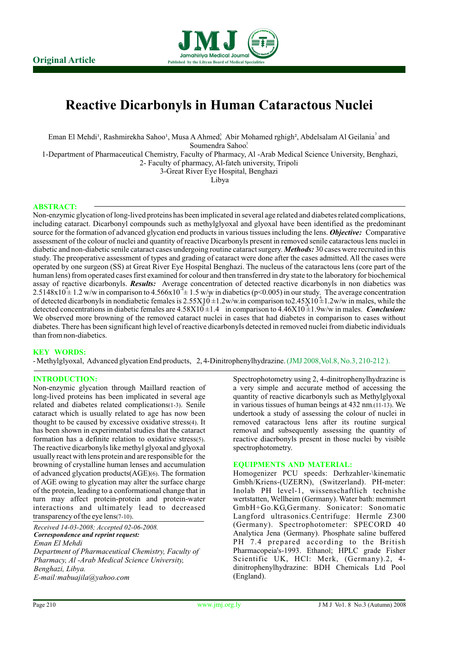

# **Reactive Dicarbonyls in Human Cataractous Nuclei**

Eman El Mehdi<sup>1</sup>, Rashmirekha Sahoo<sup>1</sup>, Musa A Ahmed<sup>3</sup>, Abir Mohamed rghigh<sup>2</sup>, Abdelsalam Al Geilania<sup>3</sup> and

Soumendra Sahoo?

1-Department of Pharmaceutical Chemistry, Faculty of Pharmacy, Al -Arab Medical Science University, Benghazi,

2- Faculty of pharmacy, Al-fateh university, Tripoli 3-Great River Eye Hospital, Benghazi

Libya

# **ABSTRACT:**

Non-enzymic glycation of long-lived proteins has been implicated in several age related and diabetes related complications, including cataract. Dicarbonyl compounds such as methylglyoxal and glyoxal have been identified as the predominant source for the formation of advanced glycation end products in various tissues including the lens. *Objective:* Comparative assessment of the colour of nuclei and quantity of reactive Dicarbonyls present in removed senile cataractous lens nuclei in diabetic and non-diabetic senile cataract cases undergoing routine cataract surgery. *Methods:* 30 cases were recruited in this study. The preoperative assessment of types and grading of cataract were done after the cases admitted. All the cases were operated by one surgeon (SS) at Great River Eye Hospital Benghazi. The nucleus of the cataractous lens (core part of the human lens) from operated cases first examined for colour and then transferred in dry state to the laboratory for biochemical assay of reactive dicarbonyls. *Results:* Average concentration of detected reactive dicarbonyls in non diabetics was  $2.5148x10^{\frac{3}{2}}$  1.2 w/w in comparison to 4.566x10<sup>-4</sup> ± 1.5 w/w in diabetics (p<0.005) in our study. The average concentration of detected dicarbonyls in nondiabetic females is  $2.55X10 \pm 1.2$ w/w.in comparison to $2.45X10 \pm 1.2$ w/w in males, while the detected concentrations in diabetic females are  $4.58X10 \pm 1.4$  in comparison to  $4.46X10 \pm 1.9w/w$  in males. *Conclusion:* We observed more browning of the removed cataract nuclei in cases that had diabetes in comparison to cases without diabetes. There has been significant high level of reactive dicarbonyls detected in removed nuclei from diabetic individuals than from non-diabetics.

# **KEY WORDS:**

- Methylglyoxal, Advanced glycation End products, 2, 4-Dinitrophenylhydrazine. (JMJ 2008,Vol.8, No.3, 210-212 ).

# **INTRODUCTION:**

long-lived proteins has been implicated in several age quantity of reactive dicarbonyls such as Methylglyoxal related and diabetes related complications(1-3). Senile in various tissues of human beings at 432 nm.(11-13). We cataract which is usually related to age has now been undertook a study of assessing the colour of nuclei in thought to be caused by excessive oxidative stress(4). It removed cataractous lens after its routine surgical thought to be caused by excessive oxidative stress(4). It removed cataractous lens after its routine surgical<br>has been shown in experimental studies that the cataract removal and subsequently assessing the quantity of has been shown in experimental studies that the cataract removal and subsequently assessing the quantity of formation has a definite relation to oxidative stress(5). The reactive diacrbonyls present in those nuclei by visi The reactive dicarbonyls like methyl glyoxal and glyoxal spectrophotometry. usually react with lens protein and are responsible for the browning of crystalline human lenses and accumulation<br>of advanced glycation products( $\angle$ AGE)(6). The formation of advanced glycation products(AGE)(6). The formation Homogenizer PCU speeds: Derhzahler-\kinematic of AGE owing to glycation may alter the surface charge Gmbh/Kriens-(UZERN), (Switzerland). PH-meter: of the protein, leading to a conformational change that in Inolab PH level-1, wissenschaftlich technishe<br>turn may affect protein-protein and protein-water wertstatten. Wellheim (Germany). Water bath: memmert turn may affect protein-protein and protein-water wertstatten, Wellheim (Germany). Water bath: memmert interactions and ultimately lead to decreased GmbH+Go.KG,Germany. Sonicator: Sonomatic interactions and ultimately lead to decreased

*Received 14-03-2008; Accepted 02-06-2008. Correspondence and reprint request: Eman El Mehdi Department of Pharmaceutical Chemistry, Faculty of Pharmacy, Al -Arab Medical Science University, Benghazi, Libya. E-mail:mabuajila@yahoo.com*

Spectrophotometry using 2, 4-dinitrophenylhydrazine is Non-enzymic glycation through Maillard reaction of a very simple and accurate method of accessing the long-lived proteins has been implicated in several age quantity of reactive dicarbonyls such as Methylglyoxal in various tissues of human beings at  $432$  nm.(11-13). We reactive diacrbonyls present in those nuclei by visible

## **EQUIPMENTS AND MATERIAL:**

Gmbh/Kriens-(UZERN), (Switzerland). PH-meter: transparency of the eye lens(7-10). Langford ultrasonics.Centrifuge: Hermle Z300 (Germany). Spectrophotometer: SPECORD 40 Analytica Jena (Germany). Phosphate saline buffered PH 7.4 prepared according to the British Pharmacopeia's-1993. Ethanol; HPLC grade Fisher Scientific UK, HCl: Merk, (Germany).2, 4 dinitrophenylhydrazine: BDH Chemicals Ltd Pool (England).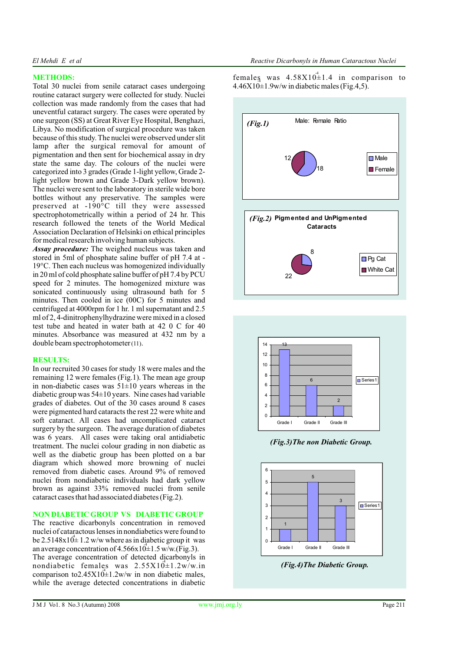# **METHODS:**

Total 30 nuclei from senile cataract cases undergoing  $4.46X10\pm1.9w/w$  in diabetic males (Fig.4,5). routine cataract surgery were collected for study. Nuclei collection was made randomly from the cases that had uneventful cataract surgery. The cases were operated by one surgeon (SS) at Great River Eye Hospital, Benghazi, Libya. No modification of surgical procedure was taken because of this study. The nuclei were observed under slit lamp after the surgical removal for amount of pigmentation and then sent for biochemical assay in dry state the same day. The colours of the nuclei were categorized into 3 grades (Grade 1-light yellow, Grade 2 light yellow brown and Grade 3-Dark yellow brown). The nuclei were sent to the laboratory in sterile wide bore bottles without any preservative. The samples were preserved at -190°C till they were assessed spectrophotometrically within a period of 24 hr. This research followed the tenets of the World Medical Association Declaration of Helsinki on ethical principles for medical research involving human subjects.

*Assay procedure:* The weighed nucleus was taken and stored in 5ml of phosphate saline buffer of pH 7.4 at - 19°C. Then each nucleus was homogenized individually in 20 ml of cold phosphate saline buffer of pH 7.4 by PCU speed for 2 minutes. The homogenized mixture was sonicated continuously using ultrasound bath for 5 minutes. Then cooled in ice (00C) for 5 minutes and centrifuged at 4000rpm for 1 hr. 1 ml supernatant and 2.5 ml of 2, 4-dinitrophenylhydrazine were mixed in a closed test tube and heated in water bath at 42 0 C for 40 minutes. Absorbance was measured at 432 nm by a double beam spectrophotometer (11).

# **RESULTS:**

In our recruited 30 cases for study 18 were males and the remaining 12 were females (Fig.1). The mean age group in non-diabetic cases was  $51\pm10$  years whereas in the diabetic group was 54±10 years. Nine cases had variable grades of diabetes. Out of the 30 cases around 8 cases were pigmented hard cataracts the rest 22 were white and soft cataract. All cases had uncomplicated cataract surgery by the surgeon. The average duration of diabetes was 6 years. All cases were taking oral antidiabetic treatment. The nuclei colour grading in non diabetic as well as the diabetic group has been plotted on a bar diagram which showed more browning of nuclei removed from diabetic cases. Around 9% of removed nuclei from nondiabetic individuals had dark yellow brown as against 33% removed nuclei from senile cataract cases that had associated diabetes (Fig.2).

# **NON DIABETIC GROUP VS DIABETIC GROUP**

The reactive dicarbonyls concentration in removed nuclei of cataractous lenses in nondiabetics were found to be  $2.5148x10^{\frac{4}{3}}1.2$  w/w where as in diabetic group it was an average concentration of  $4.566 \times 10^4$  = 1.5 w/w.(Fig.3). The average concentration of detected dicarbonyls in nondiabetic females was  $2.55 \times 10^4 \pm 1.2 \text{w/w.in}$ comparison to  $2.45 \times 10^{4}$  = 1.2w/w in non diabetic males, while the average detected concentrations in diabetic

females was  $4.58X10^{\frac{4}{3}}1.4$  in comparison to -4





 *(Fig.3)The non Diabetic Group.* 



 *(Fig.4)The Diabetic Group.*